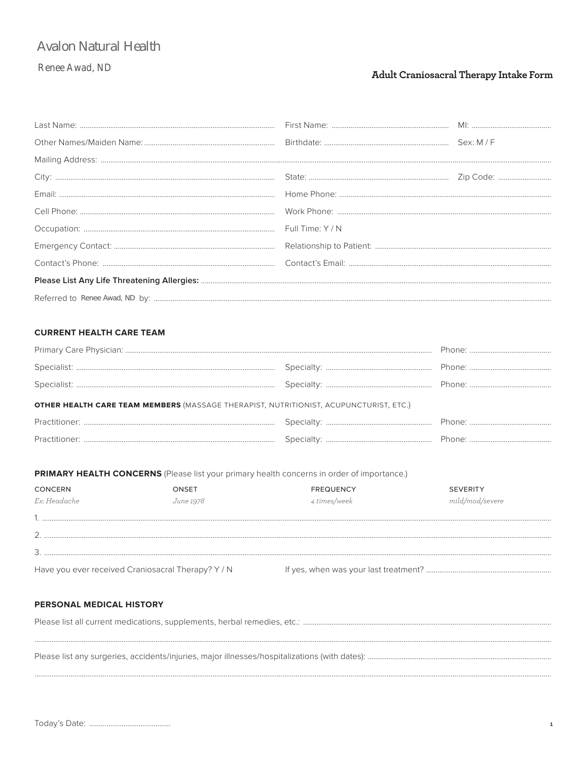# **Avalon Natural Health**

## **Renee Awad, ND**

## Adult Craniosacral Therapy Intake Form

## **CURRENT HEALTH CARE TEAM**

| OTHER HEALTH CARE TEAM MEMBERS (MASSAGE THERAPIST, NUTRITIONIST, ACUPUNCTURIST, ETC.) |  |
|---------------------------------------------------------------------------------------|--|
|                                                                                       |  |
|                                                                                       |  |
|                                                                                       |  |

#### PRIMARY HEALTH CONCERNS (Please list your primary health concerns in order of importance.)

| <b>CONCERN</b><br>Ex: Headache                     | ONSET<br>June 1978 | <b>FREQUENCY</b><br>4 times/week | <b>SEVERITY</b><br>mild/mod/severe |
|----------------------------------------------------|--------------------|----------------------------------|------------------------------------|
|                                                    |                    |                                  |                                    |
|                                                    |                    |                                  |                                    |
| Have you ever received Craniosacral Therapy? Y / N |                    |                                  |                                    |

## PERSONAL MEDICAL HISTORY